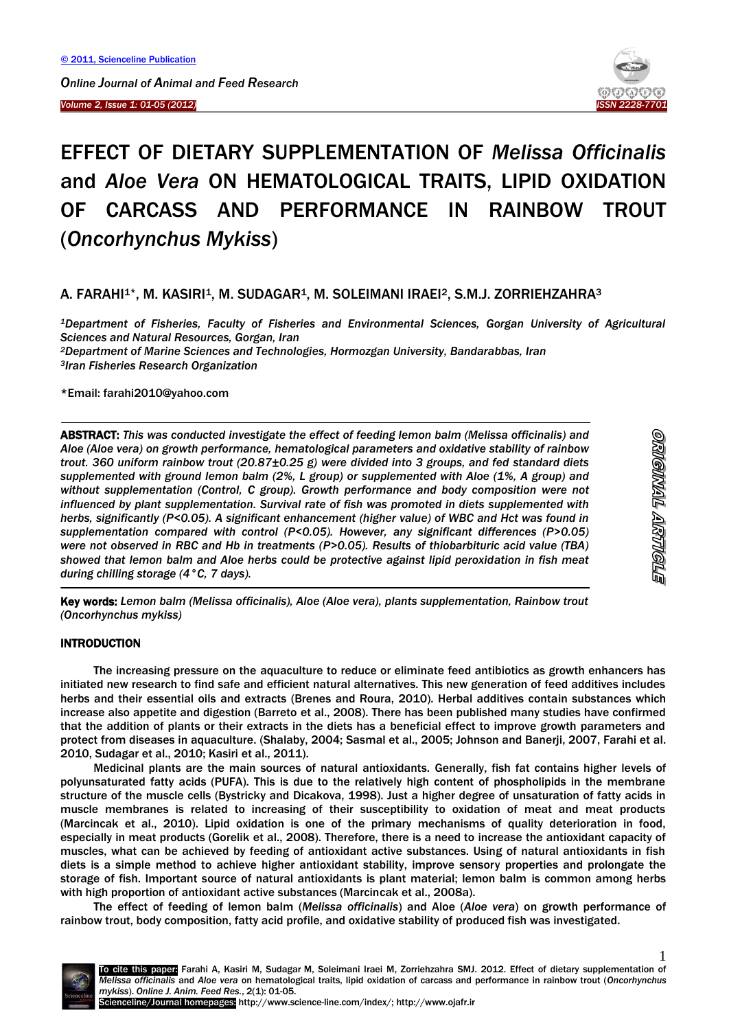*Volume 2, Issue 1: 01-05 (2012)* 



# EFFECT OF DIETARY SUPPLEMENTATION OF *Melissa Officinalis* and *Aloe Vera* ON HEMATOLOGICAL TRAITS, LIPID OXIDATION OF CARCASS AND PERFORMANCE IN RAINBOW TROUT (*Oncorhynchus Mykiss*)

## A. FARAHI<sup>1\*</sup>, M. KASIRI<sup>1</sup>, M. SUDAGAR<sup>1</sup>, M. SOLEIMANI IRAEI<sup>2</sup>, S.M.J. ZORRIEHZAHRA<sup>3</sup>

*<sup>1</sup>Department of Fisheries, Faculty of Fisheries and Environmental Sciences, Gorgan University of Agricultural Sciences and Natural Resources, Gorgan, Iran*

*<sup>2</sup>Department of Marine Sciences and Technologies, Hormozgan University, Bandarabbas, Iran <sup>3</sup>Iran Fisheries Research Organization*

#### \*Email: farahi2010@yahoo.com

ABSTRACT: *This was conducted investigate the effect of feeding lemon balm (Melissa officinalis) and Aloe (Aloe vera) on growth performance, hematological parameters and oxidative stability of rainbow trout. 360 uniform rainbow trout (20.87±0.25 g) were divided into 3 groups, and fed standard diets supplemented with ground lemon balm (2%, L group) or supplemented with Aloe (1%, A group) and without supplementation (Control, C group). Growth performance and body composition were not influenced by plant supplementation. Survival rate of fish was promoted in diets supplemented with herbs, significantly (P<0.05). A significant enhancement (higher value) of WBC and Hct was found in supplementation compared with control (P<0.05). However, any significant differences (P>0.05) were not observed in RBC and Hb in treatments (P>0.05). Results of thiobarbituric acid value (TBA) showed that lemon balm and Aloe herbs could be protective against lipid peroxidation in fish meat during chilling storage (4°C, 7 days).*

-Key words: *Lemon balm (Melissa officinalis), Aloe (Aloe vera), plants supplementation, Rainbow trout (Oncorhynchus mykiss)*

## **INTRODUCTION**

<sup>-</sup>

The increasing pressure on the aquaculture to reduce or eliminate feed antibiotics as growth enhancers has initiated new research to find safe and efficient natural alternatives. This new generation of feed additives includes herbs and their essential oils and extracts (Brenes and Roura, 2010). Herbal additives contain substances which increase also appetite and digestion (Barreto et al., 2008). There has been published many studies have confirmed that the addition of plants or their extracts in the diets has a beneficial effect to improve growth parameters and protect from diseases in aquaculture. (Shalaby, 2004; Sasmal et al., 2005; Johnson and Banerji, 2007, Farahi et al. 2010, Sudagar et al., 2010; Kasiri et al., 2011).

Medicinal plants are the main sources of natural antioxidants. Generally, fish fat contains higher levels of polyunsaturated fatty acids (PUFA). This is due to the relatively high content of phospholipids in the membrane structure of the muscle cells (Bystricky and Dicakova, 1998). Just a higher degree of unsaturation of fatty acids in muscle membranes is related to increasing of their susceptibility to oxidation of meat and meat products (Marcincak et al., 2010). Lipid oxidation is one of the primary mechanisms of quality deterioration in food, especially in meat products (Gorelik et al., 2008). Therefore, there is a need to increase the antioxidant capacity of muscles, what can be achieved by feeding of antioxidant active substances. Using of natural antioxidants in fish diets is a simple method to achieve higher antioxidant stability, improve sensory properties and prolongate the storage of fish. Important source of natural antioxidants is plant material; lemon balm is common among herbs with high proportion of antioxidant active substances (Marcincak et al., 2008a).

The effect of feeding of lemon balm (*Melissa officinalis*) and Aloe (*Aloe vera*) on growth performance of rainbow trout, body composition, fatty acid profile, and oxidative stability of produced fish was investigated.

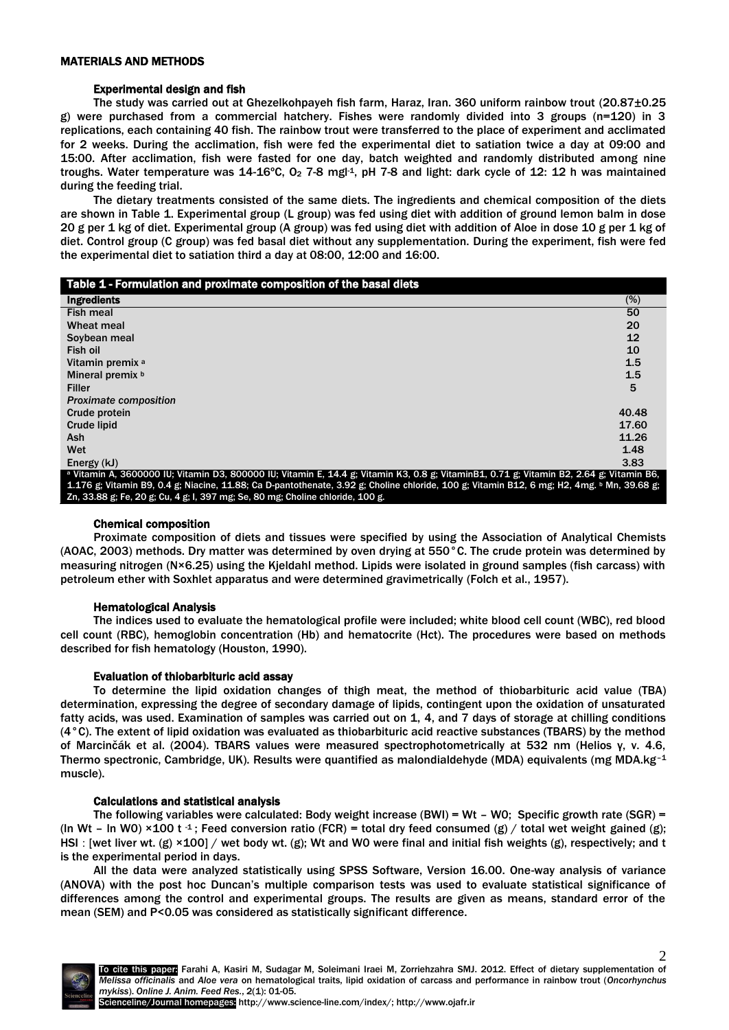## Experimental design and fish

The study was carried out at Ghezelkohpayeh fish farm, Haraz, Iran. 360 uniform rainbow trout (20.87±0.25 g) were purchased from a commercial hatchery. Fishes were randomly divided into 3 groups (n=120) in 3 replications, each containing 40 fish. The rainbow trout were transferred to the place of experiment and acclimated for 2 weeks. During the acclimation, fish were fed the experimental diet to satiation twice a day at 09:00 and 15:00. After acclimation, fish were fasted for one day, batch weighted and randomly distributed among nine troughs. Water temperature was 14-16°C, O<sub>2</sub> 7-8 mgl<sup>-1</sup>, pH 7-8 and light: dark cycle of 12: 12 h was maintained during the feeding trial.

The dietary treatments consisted of the same diets. The ingredients and chemical composition of the diets are shown in Table 1. Experimental group (L group) was fed using diet with addition of ground lemon balm in dose 20 g per 1 kg of diet. Experimental group (A group) was fed using diet with addition of Aloe in dose 10 g per 1 kg of diet. Control group (C group) was fed basal diet without any supplementation. During the experiment, fish were fed the experimental diet to satiation third a day at 08:00, 12:00 and 16:00.

| Table 1 - Formulation and proximate composition of the basal diets                                                                         |       |
|--------------------------------------------------------------------------------------------------------------------------------------------|-------|
| <b>Ingredients</b>                                                                                                                         | (%)   |
| <b>Fish meal</b>                                                                                                                           | 50    |
| Wheat meal                                                                                                                                 | 20    |
| Soybean meal                                                                                                                               | 12    |
| Fish oil                                                                                                                                   | 10    |
| Vitamin premix <sup>a</sup>                                                                                                                | 1.5   |
| Mineral premix b                                                                                                                           | 1.5   |
| <b>Filler</b>                                                                                                                              | 5     |
| <b>Proximate composition</b>                                                                                                               |       |
| Crude protein                                                                                                                              | 40.48 |
| <b>Crude lipid</b>                                                                                                                         | 17.60 |
| Ash                                                                                                                                        | 11.26 |
| Wet                                                                                                                                        | 1.48  |
| Energy (kJ)                                                                                                                                | 3.83  |
| a Vitamin A, 3600000 IU; Vitamin D3, 800000 IU; Vitamin E, 14.4 g; Vitamin K3, 0.8 g; VitaminB1, 0.71 g; Vitamin B2, 2.64 g; Vitamin B6,   |       |
| 1.176 g; Vitamin B9, 0.4 g; Niacine, 11.88; Ca D-pantothenate, 3.92 g; Choline chloride, 100 g; Vitamin B12, 6 mg; H2, 4mg. b Mn, 39.68 g; |       |
| Zn, 33.88 g; Fe, 20 g; Cu, 4 g; I, 397 mg; Se, 80 mg; Choline chloride, 100 g.                                                             |       |

## Chemical composition

Proximate composition of diets and tissues were specified by using the Association of Analytical Chemists (AOAC, 2003) methods. Dry matter was determined by oven drying at 550°C. The crude protein was determined by measuring nitrogen (N×6.25) using the Kjeldahl method. Lipids were isolated in ground samples (fish carcass) with petroleum ether with Soxhlet apparatus and were determined gravimetrically (Folch et al., 1957).

## Hematological Analysis

The indices used to evaluate the hematological profile were included; white blood cell count (WBC), red blood cell count (RBC), hemoglobin concentration (Hb) and hematocrite (Hct). The procedures were based on methods described for fish hematology (Houston, 1990).

## Evaluation of thiobarbituric acid assay

To determine the lipid oxidation changes of thigh meat, the method of thiobarbituric acid value (TBA) determination, expressing the degree of secondary damage of lipids, contingent upon the oxidation of unsaturated fatty acids, was used. Examination of samples was carried out on 1, 4, and 7 days of storage at chilling conditions (4°C). The extent of lipid oxidation was evaluated as thiobarbituric acid reactive substances (TBARS) by the method of Marcinčák et al. (2004). TBARS values were measured spectrophotometrically at 532 nm (Helios γ, v. 4.6, Thermo spectronic, Cambridge, UK). Results were quantified as malondialdehyde (MDA) equivalents (mg MDA.kg–<sup>1</sup> muscle).

#### Calculations and statistical analysis

The following variables were calculated: Body weight increase (BWI) = Wt – W0; Specific growth rate (SGR) = (In Wt – In W0) ×100 t <sup>-1</sup>; Feed conversion ratio (FCR) = total dry feed consumed (g) / total wet weight gained (g); HSI : [wet liver wt. (g)  $\times$ 100] / wet body wt. (g); Wt and WO were final and initial fish weights (g), respectively; and t is the experimental period in days.

All the data were analyzed statistically using SPSS Software, Version 16.00. One-way analysis of variance (ANOVA) with the post hoc Duncan's multiple comparison tests was used to evaluate statistical significance of differences among the control and experimental groups. The results are given as means, standard error of the mean (SEM) and P<0.05 was considered as statistically significant difference.



2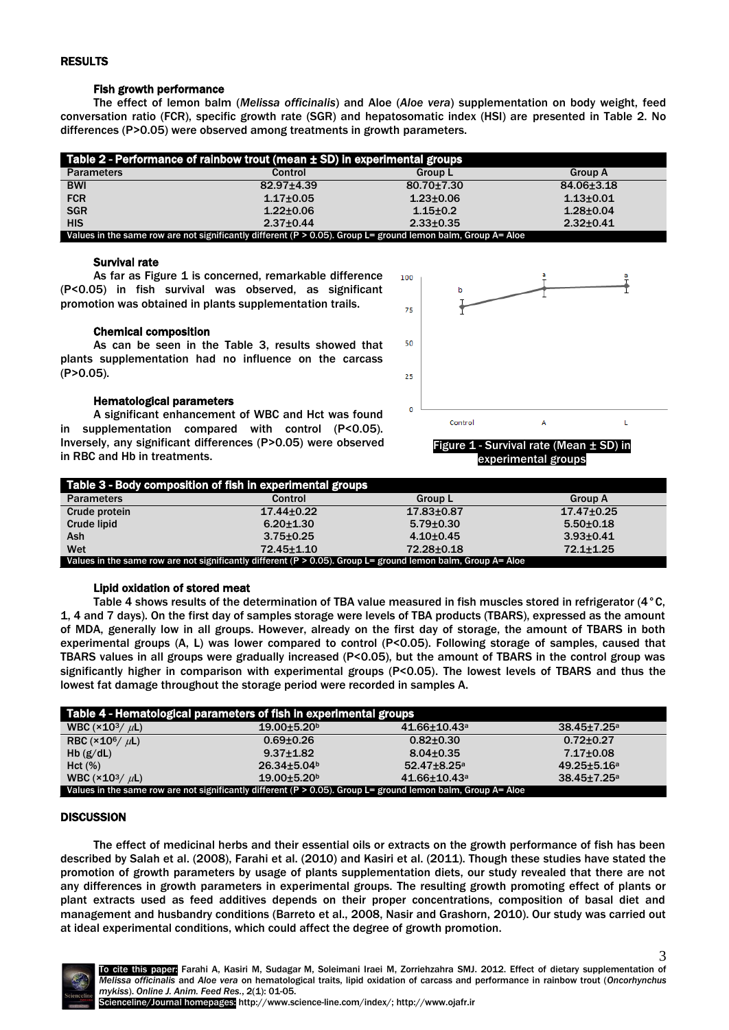## RESULTS

## Fish growth performance

The effect of lemon balm (*Melissa officinalis*) and Aloe (*Aloe vera*) supplementation on body weight, feed conversation ratio (FCR), specific growth rate (SGR) and hepatosomatic index (HSI) are presented in Table 2. No differences (P>0.05) were observed among treatments in growth parameters.

| Table 2 - Performance of rainbow trout (mean $\pm$ SD) in experimental groups                                    |                 |                  |                 |  |  |
|------------------------------------------------------------------------------------------------------------------|-----------------|------------------|-----------------|--|--|
| <b>Parameters</b>                                                                                                | Control         | <b>Group L</b>   | <b>Group A</b>  |  |  |
| <b>BWI</b>                                                                                                       | 82.97±4.39      | $80.70 \pm 7.30$ | 84.06±3.18      |  |  |
| <b>FCR</b>                                                                                                       | $1.17 + 0.05$   | $1.23 \pm 0.06$  | $1.13 + 0.01$   |  |  |
| <b>SGR</b>                                                                                                       | $1.22 \pm 0.06$ | $1.15 \pm 0.2$   | $1.28 + 0.04$   |  |  |
| <b>HIS</b>                                                                                                       | $2.37+0.44$     | $2.33 \pm 0.35$  | $2.32 \pm 0.41$ |  |  |
| Values in the same row are not significantly different ( $P > 0.05$ ). Group L= ground lemon balm, Group A= Aloe |                 |                  |                 |  |  |

## Survival rate

As far as Figure 1 is concerned, remarkable difference (P<0.05) in fish survival was observed, as significant promotion was obtained in plants supplementation trails.

#### Chemical composition

As can be seen in the Table 3, results showed that plants supplementation had no influence on the carcass (P>0.05).

#### Hematological parameters

A significant enhancement of WBC and Hct was found in supplementation compared with control (P<0.05). Inversely, any significant differences (P>0.05) were observed in RBC and Hb in treatments.



experimental groups

| Table 3 - Body composition of fish in experimental groups                                                        |                  |                  |                  |  |  |
|------------------------------------------------------------------------------------------------------------------|------------------|------------------|------------------|--|--|
| <b>Parameters</b>                                                                                                | Control          | <b>Group L</b>   | <b>Group A</b>   |  |  |
| Crude protein                                                                                                    | $17.44 \pm 0.22$ | $17.83 \pm 0.87$ | $17.47 \pm 0.25$ |  |  |
| Crude lipid                                                                                                      | $6.20 + 1.30$    | $5.79 \pm 0.30$  | $5.50+0.18$      |  |  |
| <b>Ash</b>                                                                                                       | $3.75 \pm 0.25$  | $4.10+0.45$      | $3.93 + 0.41$    |  |  |
| Wet                                                                                                              | 72.45 ± 1.10     | 72.28±0.18       | $72.1 + 1.25$    |  |  |
| Values in the same row are not significantly different ( $P > 0.05$ ). Group L= ground lemon balm, Group A= Aloe |                  |                  |                  |  |  |

## Lipid oxidation of stored meat

Table 4 shows results of the determination of TBA value measured in fish muscles stored in refrigerator (4°C, 1, 4 and 7 days). On the first day of samples storage were levels of TBA products (TBARS), expressed as the amount of MDA, generally low in all groups. However, already on the first day of storage, the amount of TBARS in both experimental groups (A, L) was lower compared to control (P<0.05). Following storage of samples, caused that TBARS values in all groups were gradually increased (P<0.05), but the amount of TBARS in the control group was significantly higher in comparison with experimental groups (P<0.05). The lowest levels of TBARS and thus the lowest fat damage throughout the storage period were recorded in samples A.

| Table 4 - Hematological parameters of fish in experimental groups                                                |                               |                                |                         |  |  |
|------------------------------------------------------------------------------------------------------------------|-------------------------------|--------------------------------|-------------------------|--|--|
| WBC $(\times 10^3 / \mu L)$                                                                                      | $19.00 + 5.20$                | $41.66 \pm 10.43$ <sup>a</sup> | $38.45 \pm 7.25$ a      |  |  |
| RBC ( $\times$ 10 <sup>6</sup> / $\mu$ L)                                                                        | $0.69 + 0.26$                 | $0.82{\pm}0.30$                | $0.72 \pm 0.27$         |  |  |
| Hb $(g/dL)$                                                                                                      | $9.37 \pm 1.82$               | $8.04 \pm 0.35$                | $7.17{\pm}0.08$         |  |  |
| Hct (%)                                                                                                          | $26.34 \pm 5.04$ <sup>b</sup> | $52.47 \pm 8.25$ <sup>a</sup>  | $49.25 + 5.16^a$        |  |  |
| WBC $(\times 10^3 / \mu L)$                                                                                      | $19.00 + 5.20$                | $41.66 \pm 10.43$ <sup>a</sup> | 38.45±7.25 <sup>a</sup> |  |  |
| Values in the same row are not significantly different ( $P > 0.05$ ). Group L= ground lemon balm, Group A= Aloe |                               |                                |                         |  |  |

## **DISCUSSION**

The effect of medicinal herbs and their essential oils or extracts on the growth performance of fish has been described by Salah et al. (2008), Farahi et al. (2010) and Kasiri et al. (2011). Though these studies have stated the promotion of growth parameters by usage of plants supplementation diets, our study revealed that there are not any differences in growth parameters in experimental groups. The resulting growth promoting effect of plants or plant extracts used as feed additives depends on their proper concentrations, composition of basal diet and management and husbandry conditions (Barreto et al., 2008, Nasir and Grashorn, 2010). Our study was carried out at ideal experimental conditions, which could affect the degree of growth promotion.

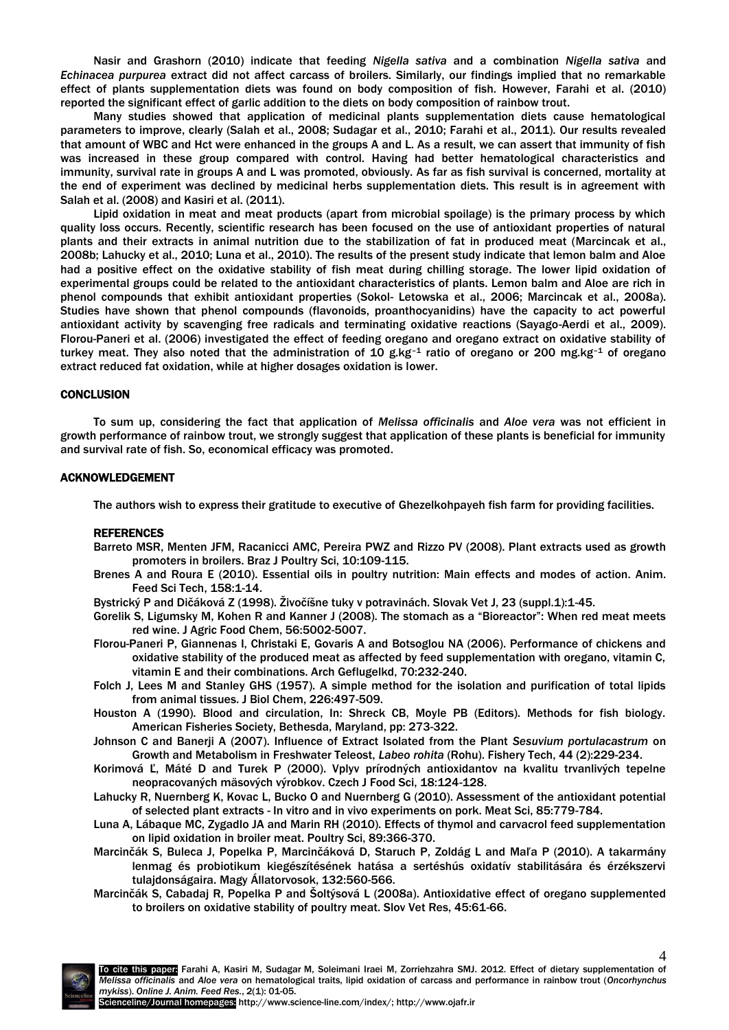Nasir and Grashorn (2010) indicate that feeding *Nigella sativa* and a combination *Nigella sativa* and *Echinacea purpurea* extract did not affect carcass of broilers. Similarly, our findings implied that no remarkable effect of plants supplementation diets was found on body composition of fish. However, Farahi et al. (2010) reported the significant effect of garlic addition to the diets on body composition of rainbow trout.

Many studies showed that application of medicinal plants supplementation diets cause hematological parameters to improve, clearly (Salah et al., 2008; Sudagar et al., 2010; Farahi et al., 2011). Our results revealed that amount of WBC and Hct were enhanced in the groups A and L. As a result, we can assert that immunity of fish was increased in these group compared with control. Having had better hematological characteristics and immunity, survival rate in groups A and L was promoted, obviously. As far as fish survival is concerned, mortality at the end of experiment was declined by medicinal herbs supplementation diets. This result is in agreement with Salah et al. (2008) and Kasiri et al. (2011).

Lipid oxidation in meat and meat products (apart from microbial spoilage) is the primary process by which quality loss occurs. Recently, scientific research has been focused on the use of antioxidant properties of natural plants and their extracts in animal nutrition due to the stabilization of fat in produced meat (Marcincak et al., 2008b; Lahucky et al., 2010; Luna et al., 2010). The results of the present study indicate that lemon balm and Aloe had a positive effect on the oxidative stability of fish meat during chilling storage. The lower lipid oxidation of experimental groups could be related to the antioxidant characteristics of plants. Lemon balm and Aloe are rich in phenol compounds that exhibit antioxidant properties (Sokol- Letowska et al., 2006; Marcincak et al., 2008a). Studies have shown that phenol compounds (flavonoids, proanthocyanidins) have the capacity to act powerful antioxidant activity by scavenging free radicals and terminating oxidative reactions (Sayago-Aerdi et al., 2009). Florou-Paneri et al. (2006) investigated the effect of feeding oregano and oregano extract on oxidative stability of turkey meat. They also noted that the administration of 10 g.kg-1 ratio of oregano or 200 mg.kg-1 of oregano extract reduced fat oxidation, while at higher dosages oxidation is lower.

#### **CONCLUSION**

To sum up, considering the fact that application of *Melissa officinalis* and *Aloe vera* was not efficient in growth performance of rainbow trout, we strongly suggest that application of these plants is beneficial for immunity and survival rate of fish. So, economical efficacy was promoted.

#### ACKNOWLEDGEMENT

The authors wish to express their gratitude to executive of Ghezelkohpayeh fish farm for providing facilities.

#### REFERENCES

- Barreto MSR, Menten JFM, Racanicci AMC, Pereira PWZ and Rizzo PV (2008). Plant extracts used as growth promoters in broilers. Braz J Poultry Sci, 10:109-115.
- Brenes A and Roura E (2010). Essential oils in poultry nutrition: Main effects and modes of action. Anim. Feed Sci Tech, 158:1-14.
- Bystrický P and Dičáková Z (1998). Živočíšne tuky v potravinách. Slovak Vet J, 23 (suppl.1):1-45.
- Gorelik S, Ligumsky M, Kohen R and Kanner J (2008). The stomach as a "Bioreactor": When red meat meets red wine. J Agric Food Chem, 56:5002-5007.
- Florou-Paneri P, Giannenas I, Christaki E, Govaris A and Botsoglou NA (2006). Performance of chickens and oxidative stability of the produced meat as affected by feed supplementation with oregano, vitamin C, vitamin E and their combinations. Arch Geflugelkd, 70:232-240.
- Folch J, Lees M and Stanley GHS (1957). A simple method for the isolation and purification of total lipids from animal tissues. J Biol Chem, 226:497-509.
- Houston A (1990). Blood and circulation, In: Shreck CB, Moyle PB (Editors). Methods for fish biology. American Fisheries Society, Bethesda, Maryland, pp: 273-322.
- Johnson C and Banerji A (2007). Influence of Extract Isolated from the Plant *Sesuvium portulacastrum* on Growth and Metabolism in Freshwater Teleost, *Labeo rohita* (Rohu). Fishery Tech, 44 (2):229-234.
- Korimová Ľ, Máté D and Turek P (2000). Vplyv prírodných antioxidantov na kvalitu trvanlivých tepelne neopracovaných mäsových výrobkov. Czech J Food Sci, 18:124-128.
- Lahucky R, Nuernberg K, Kovac L, Bucko O and Nuernberg G (2010). Assessment of the antioxidant potential of selected plant extracts - In vitro and in vivo experiments on pork. Meat Sci, 85:779-784.
- Luna A, Lábaque MC, Zygadlo JA and Marin RH (2010). Effects of thymol and carvacrol feed supplementation on lipid oxidation in broiler meat. Poultry Sci, 89:366-370.
- Marcinčák S, Buleca J, Popelka P, Marcinčáková D, Staruch P, Zoldág L and Maľa P (2010). A takarmány lenmag és probiotikum kiegészítésének hatása a sertéshús oxidatív stabilitására és érzékszervi tulajdonságaira. Magy Állatorvosok, 132:560-566.
- Marcinčák S, Cabadaj R, Popelka P and Šoltýsová L (2008a). Antioxidative effect of oregano supplemented to broilers on oxidative stability of poultry meat. Slov Vet Res, 45:61-66.